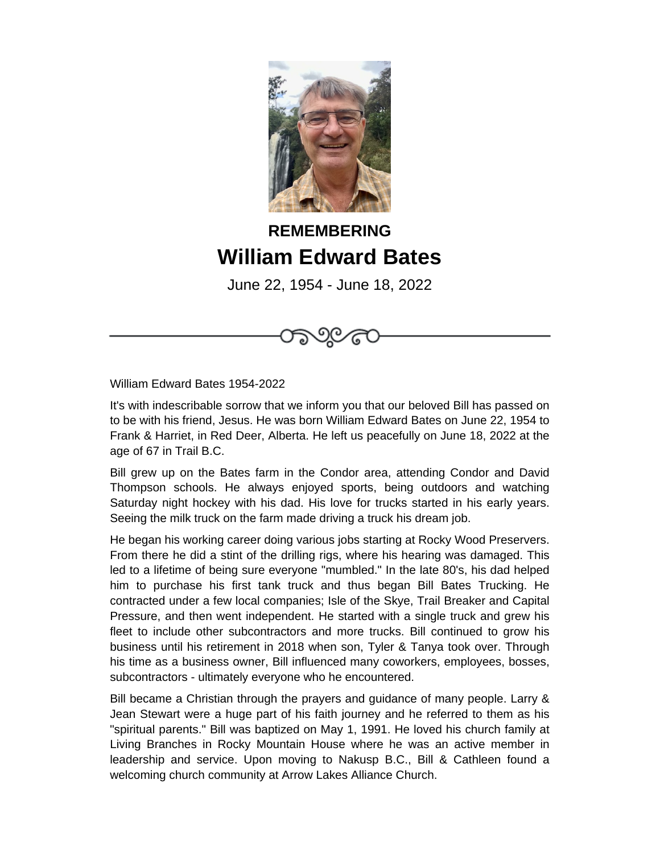

## **REMEMBERING William Edward Bates**

June 22, 1954 - June 18, 2022

ාලය



It's with indescribable sorrow that we inform you that our beloved Bill has passed on to be with his friend, Jesus. He was born William Edward Bates on June 22, 1954 to Frank & Harriet, in Red Deer, Alberta. He left us peacefully on June 18, 2022 at the age of 67 in Trail B.C.

Bill grew up on the Bates farm in the Condor area, attending Condor and David Thompson schools. He always enjoyed sports, being outdoors and watching Saturday night hockey with his dad. His love for trucks started in his early years. Seeing the milk truck on the farm made driving a truck his dream job.

He began his working career doing various jobs starting at Rocky Wood Preservers. From there he did a stint of the drilling rigs, where his hearing was damaged. This led to a lifetime of being sure everyone "mumbled." In the late 80's, his dad helped him to purchase his first tank truck and thus began Bill Bates Trucking. He contracted under a few local companies; Isle of the Skye, Trail Breaker and Capital Pressure, and then went independent. He started with a single truck and grew his fleet to include other subcontractors and more trucks. Bill continued to grow his business until his retirement in 2018 when son, Tyler & Tanya took over. Through his time as a business owner, Bill influenced many coworkers, employees, bosses, subcontractors - ultimately everyone who he encountered.

Bill became a Christian through the prayers and guidance of many people. Larry & Jean Stewart were a huge part of his faith journey and he referred to them as his "spiritual parents." Bill was baptized on May 1, 1991. He loved his church family at Living Branches in Rocky Mountain House where he was an active member in leadership and service. Upon moving to Nakusp B.C., Bill & Cathleen found a welcoming church community at Arrow Lakes Alliance Church.